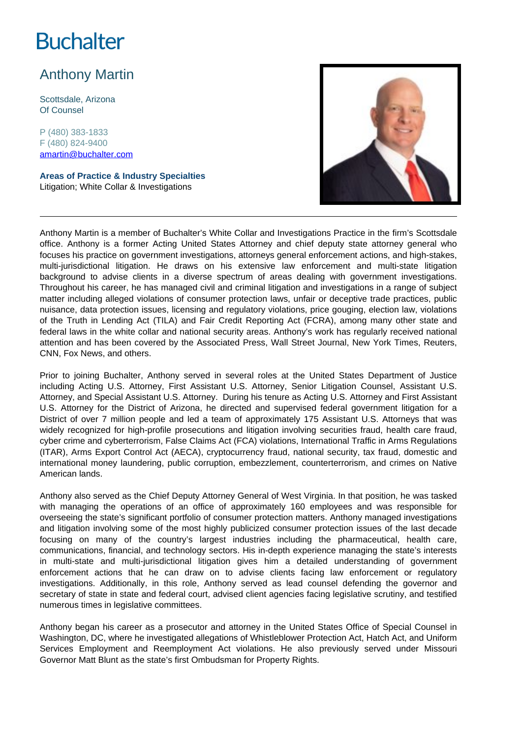# **Buchalter**

## Anthony Martin

Scottsdale, Arizona Of Counsel

P (480) 383-1833 F (480) 824-9400 amartin@buchalter.com

**Areas of Practice & Industry Specialties** Litigation; White Collar & Investigations



Anthony Martin is a member of Buchalter's White Collar and Investigations Practice in the firm's Scottsdale office. Anthony is a former Acting United States Attorney and chief deputy state attorney general who focuses his practice on government investigations, attorneys general enforcement actions, and high-stakes, multi-jurisdictional litigation. He draws on his extensive law enforcement and multi-state litigation background to advise clients in a diverse spectrum of areas dealing with government investigations. Throughout his career, he has managed civil and criminal litigation and investigations in a range of subject matter including alleged violations of consumer protection laws, unfair or deceptive trade practices, public nuisance, data protection issues, licensing and regulatory violations, price gouging, election law, violations of the Truth in Lending Act (TILA) and Fair Credit Reporting Act (FCRA), among many other state and federal laws in the white collar and national security areas. Anthony's work has regularly received national attention and has been covered by the Associated Press, Wall Street Journal, New York Times, Reuters, CNN, Fox News, and others.

Prior to joining Buchalter, Anthony served in several roles at the United States Department of Justice including Acting U.S. Attorney, First Assistant U.S. Attorney, Senior Litigation Counsel, Assistant U.S. Attorney, and Special Assistant U.S. Attorney. During his tenure as Acting U.S. Attorney and First Assistant U.S. Attorney for the District of Arizona, he directed and supervised federal government litigation for a District of over 7 million people and led a team of approximately 175 Assistant U.S. Attorneys that was widely recognized for high-profile prosecutions and litigation involving securities fraud, health care fraud, cyber crime and cyberterrorism, False Claims Act (FCA) violations, International Traffic in Arms Regulations (ITAR), Arms Export Control Act (AECA), cryptocurrency fraud, national security, tax fraud, domestic and international money laundering, public corruption, embezzlement, counterterrorism, and crimes on Native American lands.

Anthony also served as the Chief Deputy Attorney General of West Virginia. In that position, he was tasked with managing the operations of an office of approximately 160 employees and was responsible for overseeing the state's significant portfolio of consumer protection matters. Anthony managed investigations and litigation involving some of the most highly publicized consumer protection issues of the last decade focusing on many of the country's largest industries including the pharmaceutical, health care, communications, financial, and technology sectors. His in-depth experience managing the state's interests in multi-state and multi-jurisdictional litigation gives him a detailed understanding of government enforcement actions that he can draw on to advise clients facing law enforcement or regulatory investigations. Additionally, in this role, Anthony served as lead counsel defending the governor and secretary of state in state and federal court, advised client agencies facing legislative scrutiny, and testified numerous times in legislative committees.

Anthony began his career as a prosecutor and attorney in the United States Office of Special Counsel in Washington, DC, where he investigated allegations of Whistleblower Protection Act, Hatch Act, and Uniform Services Employment and Reemployment Act violations. He also previously served under Missouri Governor Matt Blunt as the state's first Ombudsman for Property Rights.